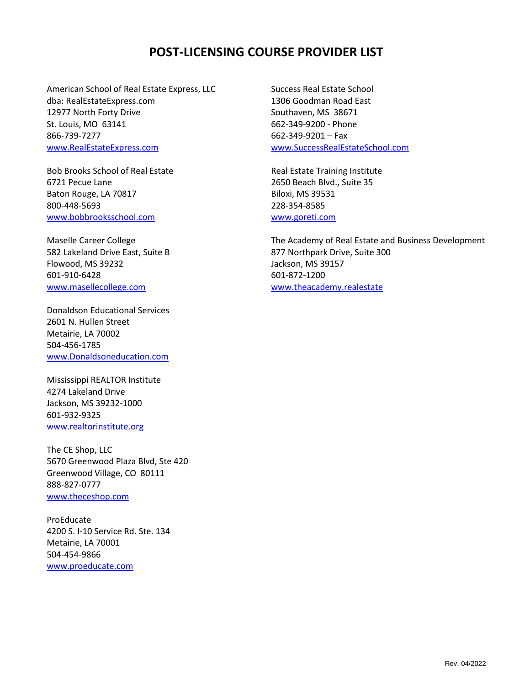## **POST-LICENSING COURSE PROVIDER LIST**

American School of Real Estate Express, LLC dba: RealEstateExpress.com 12977 North Forty Drive St. Louis, MO 63141 866-739-7277 [www.RealEstateExpress.com](http://www.realestateexpress.com/)

Bob Brooks School of Real Estate 6721 Pecue Lane Baton Rouge, LA 70817 800-448-5693 [www.bobbrooksschool.com](http://www.bobbrooksschool.com/)

Maselle Career College 582 Lakeland Drive East, Suite B Flowood, MS 39232 601-910-6428 [www.masellecollege.com](http://www.masellecollege.com/)

Donaldson Educational Services 2601 N. Hullen Street Metairie, LA 70002 504-456-1785 [www.Donaldsoneducation.com](http://www.donaldsoneducation.com/)

Mississippi REALTOR Institute 4274 Lakeland Drive Jackson, MS 39232-1000 601-932-9325 [www.realtorinstitute.org](http://www.realtorinstitute.org/)

The CE Shop, LLC 5670 Greenwood Plaza Blvd, Ste 420 Greenwood Village, CO 80111 888-827-0777 [www.theceshop.com](http://www.theceshop.com/)

ProEducate 4200 S. I-10 Service Rd. Ste. 134 Metairie, LA 70001 504-454-9866 [www.proeducate.com](http://www.proeducate.com/)

Success Real Estate School 1306 Goodman Road East Southaven, MS 38671 662-349-9200 - Phone 662-349-9201 – Fax [www.SuccessRealEstateSchool.com](http://www.successrealestateschool.com/)

Real Estate Training Institute 2650 Beach Blvd., Suite 35 Biloxi, MS 39531 228-354-8585 [www.goreti.com](http://www.goreti.com/)

The Academy of Real Estate and Business Development 877 Northpark Drive, Suite 300 Jackson, MS 39157 601-872-1200 [www.theacademy.realestate](http://www.theacademy.realestate/)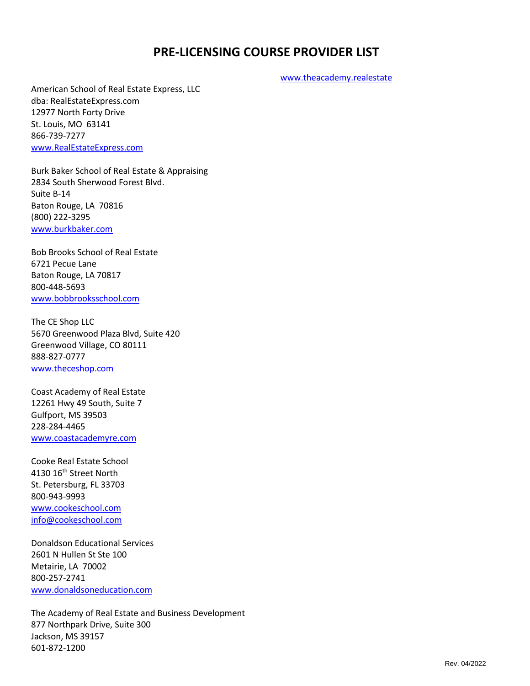## **PRE-LICENSING COURSE PROVIDER LIST**

[www.theacademy.realestate](http://www.theacademy.realestate/)

American School of Real Estate Express, LLC dba: RealEstateExpress.com 12977 North Forty Drive St. Louis, MO 63141 866-739-7277 [www.RealEstateExpress.com](http://www.realestateexpress.com/)

Burk Baker School of Real Estate & Appraising 2834 South Sherwood Forest Blvd. Suite B-14 Baton Rouge, LA 70816 (800) 222-3295 [www.burkbaker.com](http://www.burkbaker.com/)

Bob Brooks School of Real Estate 6721 Pecue Lane Baton Rouge, LA 70817 800-448-5693 [www.bobbrooksschool.com](http://www.bobbrooksschool.com/)

The CE Shop LLC 5670 Greenwood Plaza Blvd, Suite 420 Greenwood Village, CO 80111 888-827-0777 [www.theceshop.com](http://www.theceshop.com/)

Coast Academy of Real Estate 12261 Hwy 49 South, Suite 7 Gulfport, MS 39503 228-284-4465 [www.coastacademyre.com](http://www.coastacademyre.com/)

Cooke Real Estate School 4130 16th Street North St. Petersburg, FL 33703 800-943-9993 <www.cookeschool.com> [info@cookeschool.com](mailto:info@cookeschool.com)

Donaldson Educational Services 2601 N Hullen St Ste 100 Metairie, LA 70002 800-257-2741 [www.donaldsoneducation.com](http://www.donaldsoneducation.com/)

The Academy of Real Estate and Business Development 877 Northpark Drive, Suite 300 Jackson, MS 39157 601-872-1200